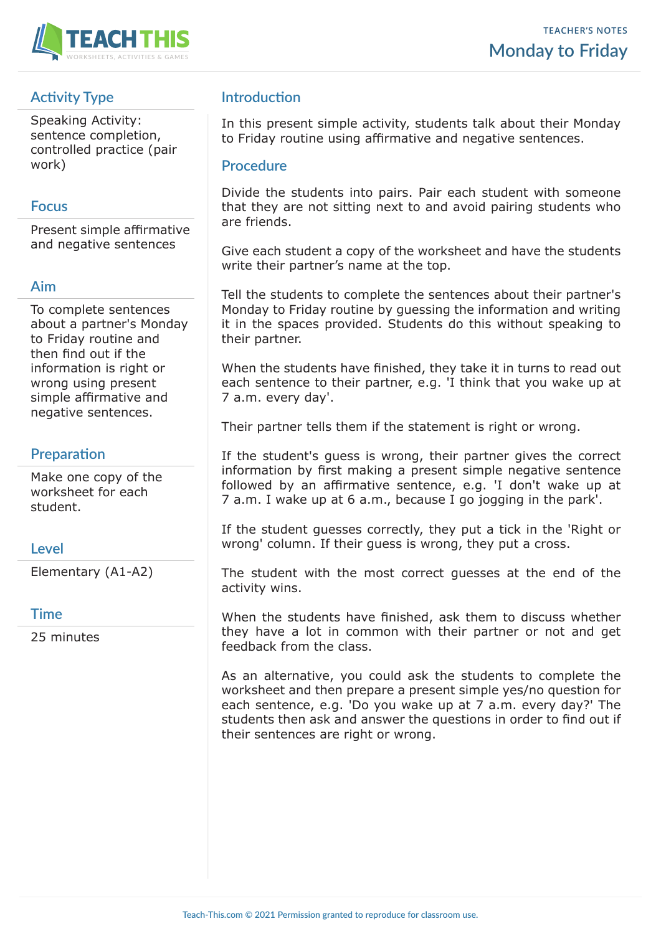

# **Activity Type**

Speaking Activity: sentence completion, controlled practice (pair work)

### **Focus**

Present simple affirmative and negative sentences

### **Aim**

To complete sentences about a partner's Monday to Friday routine and then find out if the information is right or wrong using present simple affirmative and negative sentences.

## **Preparation**

Make one copy of the worksheet for each student.

#### **Level**

Elementary (A1-A2)

#### **Time**

25 minutes

# **Introduction**

In this present simple activity, students talk about their Monday to Friday routine using affirmative and negative sentences.

#### **Procedure**

Divide the students into pairs. Pair each student with someone that they are not sitting next to and avoid pairing students who are friends.

Give each student a copy of the worksheet and have the students write their partner's name at the top.

Tell the students to complete the sentences about their partner's Monday to Friday routine by guessing the information and writing it in the spaces provided. Students do this without speaking to their partner.

When the students have finished, they take it in turns to read out each sentence to their partner, e.g. 'I think that you wake up at 7 a.m. every day'.

Their partner tells them if the statement is right or wrong.

If the student's guess is wrong, their partner gives the correct information by first making a present simple negative sentence followed by an affirmative sentence, e.g. 'I don't wake up at 7 a.m. I wake up at 6 a.m., because I go jogging in the park'.

If the student guesses correctly, they put a tick in the 'Right or wrong' column. If their guess is wrong, they put a cross.

The student with the most correct guesses at the end of the activity wins.

When the students have finished, ask them to discuss whether they have a lot in common with their partner or not and get feedback from the class.

As an alternative, you could ask the students to complete the worksheet and then prepare a present simple yes/no question for each sentence, e.g. 'Do you wake up at 7 a.m. every day?' The students then ask and answer the questions in order to find out if their sentences are right or wrong.